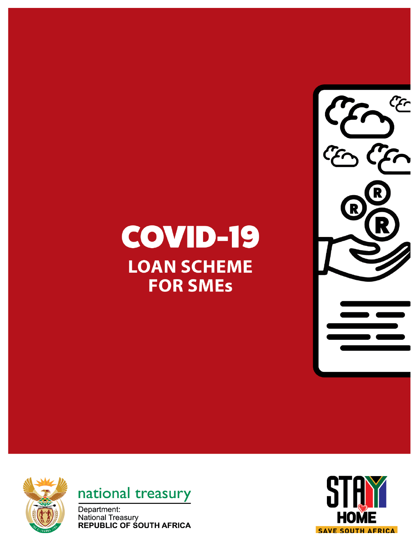## COVID-19 **LOAN SCHEME FOR SMEs**







Department: **National Treasury REPUBLIC OF SOUTH AFRICA** 

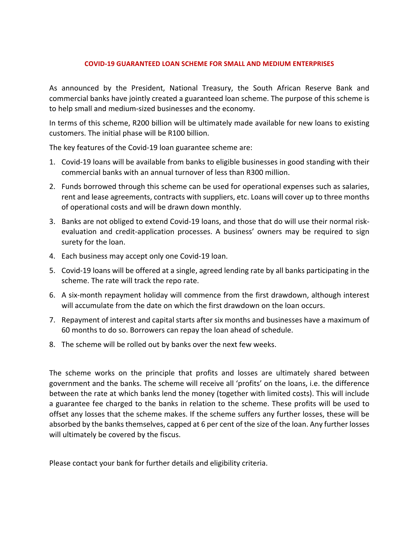## **COVID-19 GUARANTEED LOAN SCHEME FOR SMALL AND MEDIUM ENTERPRISES**

As announced by the President, National Treasury, the South African Reserve Bank and commercial banks have jointly created a guaranteed loan scheme. The purpose of this scheme is to help small and medium-sized businesses and the economy.

In terms of this scheme, R200 billion will be ultimately made available for new loans to existing customers. The initial phase will be R100 billion.

The key features of the Covid-19 loan guarantee scheme are:

- 1. Covid-19 loans will be available from banks to eligible businesses in good standing with their commercial banks with an annual turnover of less than R300 million.
- 2. Funds borrowed through this scheme can be used for operational expenses such as salaries, rent and lease agreements, contracts with suppliers, etc. Loans will cover up to three months of operational costs and will be drawn down monthly.
- 3. Banks are not obliged to extend Covid-19 loans, and those that do will use their normal riskevaluation and credit-application processes. A business' owners may be required to sign surety for the loan.
- 4. Each business may accept only one Covid-19 loan.
- 5. Covid-19 loans will be offered at a single, agreed lending rate by all banks participating in the scheme. The rate will track the repo rate.
- 6. A six-month repayment holiday will commence from the first drawdown, although interest will accumulate from the date on which the first drawdown on the loan occurs.
- 7. Repayment of interest and capital starts after six months and businesses have a maximum of 60 months to do so. Borrowers can repay the loan ahead of schedule.
- 8. The scheme will be rolled out by banks over the next few weeks.

The scheme works on the principle that profits and losses are ultimately shared between government and the banks. The scheme will receive all 'profits' on the loans, i.e. the difference between the rate at which banks lend the money (together with limited costs). This will include a guarantee fee charged to the banks in relation to the scheme. These profits will be used to offset any losses that the scheme makes. If the scheme suffers any further losses, these will be absorbed by the banks themselves, capped at 6 per cent of the size of the loan. Any further losses will ultimately be covered by the fiscus.

Please contact your bank for further details and eligibility criteria.